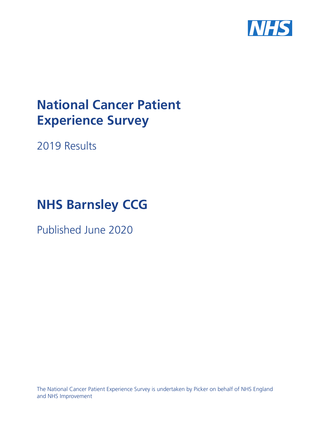

# **National Cancer Patient Experience Survey**

2019 Results

# **NHS Barnsley CCG**

Published June 2020

The National Cancer Patient Experience Survey is undertaken by Picker on behalf of NHS England and NHS Improvement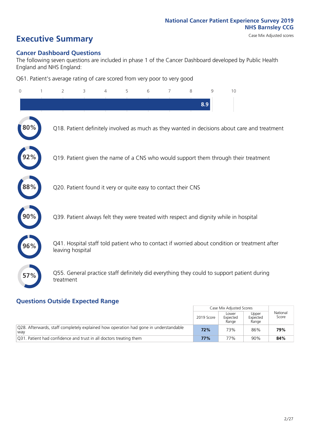# **Executive Summary** Case Mix Adjusted scores

#### **Cancer Dashboard Questions**

The following seven questions are included in phase 1 of the Cancer Dashboard developed by Public Health England and NHS England:

Q61. Patient's average rating of care scored from very poor to very good

| $\overline{0}$ | $\overline{2}$   | 3                                                             | 4 | 5 | 6 | 7 | 8 | 9   | 10                                                                                            |
|----------------|------------------|---------------------------------------------------------------|---|---|---|---|---|-----|-----------------------------------------------------------------------------------------------|
|                |                  |                                                               |   |   |   |   |   | 8.9 |                                                                                               |
|                |                  |                                                               |   |   |   |   |   |     | Q18. Patient definitely involved as much as they wanted in decisions about care and treatment |
|                |                  |                                                               |   |   |   |   |   |     | Q19. Patient given the name of a CNS who would support them through their treatment           |
| 88%            |                  | Q20. Patient found it very or quite easy to contact their CNS |   |   |   |   |   |     |                                                                                               |
|                |                  |                                                               |   |   |   |   |   |     | Q39. Patient always felt they were treated with respect and dignity while in hospital         |
|                | leaving hospital |                                                               |   |   |   |   |   |     | Q41. Hospital staff told patient who to contact if worried about condition or treatment after |
| 57%            | treatment        |                                                               |   |   |   |   |   |     | Q55. General practice staff definitely did everything they could to support patient during    |

### **Questions Outside Expected Range**

|                                                                                             |            | Case Mix Adjusted Scores   |                            |                   |
|---------------------------------------------------------------------------------------------|------------|----------------------------|----------------------------|-------------------|
|                                                                                             | 2019 Score | Lower<br>Expected<br>Range | Upper<br>Expected<br>Range | National<br>Score |
| Q28. Afterwards, staff completely explained how operation had gone in understandable<br>way | 72%        | 73%                        | 86%                        | 79%               |
| Q31. Patient had confidence and trust in all doctors treating them                          | 77%        | 77%                        | 90%                        | 84%               |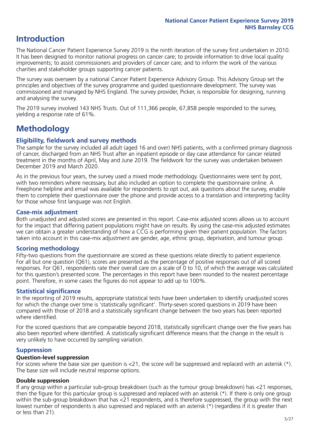# **Introduction**

The National Cancer Patient Experience Survey 2019 is the ninth iteration of the survey first undertaken in 2010. It has been designed to monitor national progress on cancer care; to provide information to drive local quality improvements; to assist commissioners and providers of cancer care; and to inform the work of the various charities and stakeholder groups supporting cancer patients.

The survey was overseen by a national Cancer Patient Experience Advisory Group. This Advisory Group set the principles and objectives of the survey programme and guided questionnaire development. The survey was commissioned and managed by NHS England. The survey provider, Picker, is responsible for designing, running and analysing the survey.

The 2019 survey involved 143 NHS Trusts. Out of 111,366 people, 67,858 people responded to the survey, yielding a response rate of 61%.

# **Methodology**

#### **Eligibility, eldwork and survey methods**

The sample for the survey included all adult (aged 16 and over) NHS patients, with a confirmed primary diagnosis of cancer, discharged from an NHS Trust after an inpatient episode or day case attendance for cancer related treatment in the months of April, May and June 2019. The fieldwork for the survey was undertaken between December 2019 and March 2020.

As in the previous four years, the survey used a mixed mode methodology. Questionnaires were sent by post, with two reminders where necessary, but also included an option to complete the questionnaire online. A Freephone helpline and email was available for respondents to opt out, ask questions about the survey, enable them to complete their questionnaire over the phone and provide access to a translation and interpreting facility for those whose first language was not English.

#### **Case-mix adjustment**

Both unadjusted and adjusted scores are presented in this report. Case-mix adjusted scores allows us to account for the impact that differing patient populations might have on results. By using the case-mix adjusted estimates we can obtain a greater understanding of how a CCG is performing given their patient population. The factors taken into account in this case-mix adjustment are gender, age, ethnic group, deprivation, and tumour group.

#### **Scoring methodology**

Fifty-two questions from the questionnaire are scored as these questions relate directly to patient experience. For all but one question (Q61), scores are presented as the percentage of positive responses out of all scored responses. For Q61, respondents rate their overall care on a scale of 0 to 10, of which the average was calculated for this question's presented score. The percentages in this report have been rounded to the nearest percentage point. Therefore, in some cases the figures do not appear to add up to 100%.

#### **Statistical significance**

In the reporting of 2019 results, appropriate statistical tests have been undertaken to identify unadjusted scores for which the change over time is 'statistically significant'. Thirty-seven scored questions in 2019 have been compared with those of 2018 and a statistically significant change between the two years has been reported where identified.

For the scored questions that are comparable beyond 2018, statistically significant change over the five years has also been reported where identified. A statistically significant difference means that the change in the result is very unlikely to have occurred by sampling variation.

#### **Suppression**

#### **Question-level suppression**

For scores where the base size per question is  $<$ 21, the score will be suppressed and replaced with an asterisk (\*). The base size will include neutral response options.

#### **Double suppression**

If any group within a particular sub-group breakdown (such as the tumour group breakdown) has <21 responses, then the figure for this particular group is suppressed and replaced with an asterisk (\*). If there is only one group within the sub-group breakdown that has <21 respondents, and is therefore suppressed, the group with the next lowest number of respondents is also supressed and replaced with an asterisk (\*) (regardless if it is greater than or less than 21).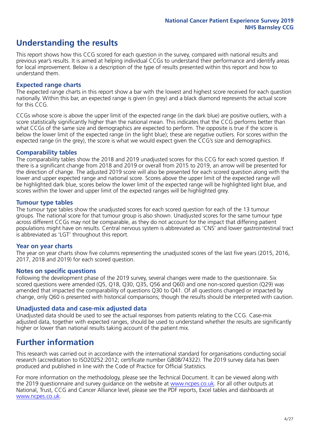# **Understanding the results**

This report shows how this CCG scored for each question in the survey, compared with national results and previous year's results. It is aimed at helping individual CCGs to understand their performance and identify areas for local improvement. Below is a description of the type of results presented within this report and how to understand them.

#### **Expected range charts**

The expected range charts in this report show a bar with the lowest and highest score received for each question nationally. Within this bar, an expected range is given (in grey) and a black diamond represents the actual score for this CCG.

CCGs whose score is above the upper limit of the expected range (in the dark blue) are positive outliers, with a score statistically significantly higher than the national mean. This indicates that the CCG performs better than what CCGs of the same size and demographics are expected to perform. The opposite is true if the score is below the lower limit of the expected range (in the light blue); these are negative outliers. For scores within the expected range (in the grey), the score is what we would expect given the CCG's size and demographics.

#### **Comparability tables**

The comparability tables show the 2018 and 2019 unadjusted scores for this CCG for each scored question. If there is a significant change from 2018 and 2019 or overall from 2015 to 2019, an arrow will be presented for the direction of change. The adjusted 2019 score will also be presented for each scored question along with the lower and upper expected range and national score. Scores above the upper limit of the expected range will be highlighted dark blue, scores below the lower limit of the expected range will be highlighted light blue, and scores within the lower and upper limit of the expected ranges will be highlighted grey.

#### **Tumour type tables**

The tumour type tables show the unadjusted scores for each scored question for each of the 13 tumour groups. The national score for that tumour group is also shown. Unadjusted scores for the same tumour type across different CCGs may not be comparable, as they do not account for the impact that differing patient populations might have on results. Central nervous system is abbreviated as 'CNS' and lower gastrointestinal tract is abbreviated as 'LGT' throughout this report.

#### **Year on year charts**

The year on year charts show five columns representing the unadjusted scores of the last five years (2015, 2016, 2017, 2018 and 2019) for each scored question.

#### **Notes on specific questions**

Following the development phase of the 2019 survey, several changes were made to the questionnaire. Six scored questions were amended (Q5, Q18, Q30, Q35, Q56 and Q60) and one non-scored question (Q29) was amended that impacted the comparability of questions Q30 to Q41. Of all questions changed or impacted by change, only Q60 is presented with historical comparisons; though the results should be interpreted with caution.

#### **Unadjusted data and case-mix adjusted data**

Unadjusted data should be used to see the actual responses from patients relating to the CCG. Case-mix adjusted data, together with expected ranges, should be used to understand whether the results are significantly higher or lower than national results taking account of the patient mix.

### **Further information**

This research was carried out in accordance with the international standard for organisations conducting social research (accreditation to ISO20252:2012; certificate number GB08/74322). The 2019 survey data has been produced and published in line with the Code of Practice for Official Statistics.

For more information on the methodology, please see the Technical Document. It can be viewed along with the 2019 questionnaire and survey quidance on the website at [www.ncpes.co.uk](https://www.ncpes.co.uk/supporting-documents). For all other outputs at National, Trust, CCG and Cancer Alliance level, please see the PDF reports, Excel tables and dashboards at [www.ncpes.co.uk.](https://www.ncpes.co.uk/current-results)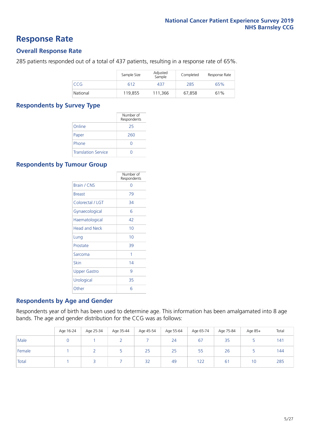### **Response Rate**

#### **Overall Response Rate**

285 patients responded out of a total of 437 patients, resulting in a response rate of 65%.

|          | Sample Size | Adjusted<br>Sample | Completed | Response Rate |
|----------|-------------|--------------------|-----------|---------------|
| CCG.     | 612         | 437                | 285       | 65%           |
| National | 119.855     | 111.366            | 67.858    | 61%           |

#### **Respondents by Survey Type**

|                            | Number of   |
|----------------------------|-------------|
|                            | Respondents |
| Online                     | 25          |
| Paper                      | 260         |
| Phone                      |             |
| <b>Translation Service</b> |             |

#### **Respondents by Tumour Group**

|                      | Number of<br>Respondents |
|----------------------|--------------------------|
| <b>Brain / CNS</b>   | ∩                        |
| <b>Breast</b>        | 79                       |
| Colorectal / LGT     | 34                       |
| Gynaecological       | 6                        |
| Haematological       | 42                       |
| <b>Head and Neck</b> | 10                       |
| Lung                 | 10                       |
| Prostate             | 39                       |
| Sarcoma              | 1                        |
| Skin                 | 14                       |
| Upper Gastro         | 9                        |
| Urological           | 35                       |
| Other                | 6                        |

#### **Respondents by Age and Gender**

Respondents year of birth has been used to determine age. This information has been amalgamated into 8 age bands. The age and gender distribution for the CCG was as follows:

|        | Age 16-24 | Age 25-34 | Age 35-44 | Age 45-54 | Age 55-64 | Age 65-74 | Age 75-84   | Age 85+ | Total |
|--------|-----------|-----------|-----------|-----------|-----------|-----------|-------------|---------|-------|
| Male   |           |           |           |           | 24        | 67        | 35          |         | 141   |
| Female |           |           |           | 25        | 25        | 55        | 26          |         | 144   |
| Total  |           |           |           | 32        | 49        | 122       | $6^{\circ}$ | 10      | 285   |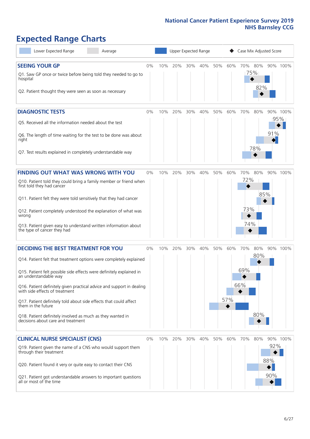# **Expected Range Charts**

| Lower Expected Range<br>Average                                                                                                                                                                                                                                                                                                                                                                                                                                                                                             |       |     | Upper Expected Range |     |     |     |            | Case Mix Adjusted Score  |                   |                   |          |
|-----------------------------------------------------------------------------------------------------------------------------------------------------------------------------------------------------------------------------------------------------------------------------------------------------------------------------------------------------------------------------------------------------------------------------------------------------------------------------------------------------------------------------|-------|-----|----------------------|-----|-----|-----|------------|--------------------------|-------------------|-------------------|----------|
| <b>SEEING YOUR GP</b><br>Q1. Saw GP once or twice before being told they needed to go to<br>hospital<br>Q2. Patient thought they were seen as soon as necessary                                                                                                                                                                                                                                                                                                                                                             | 0%    | 10% | 20%                  | 30% | 40% | 50% | 60%        | 70%<br>75%               | 80%<br>82%        |                   | 90% 100% |
| <b>DIAGNOSTIC TESTS</b><br>Q5. Received all the information needed about the test<br>Q6. The length of time waiting for the test to be done was about<br>right<br>Q7. Test results explained in completely understandable way                                                                                                                                                                                                                                                                                               | $0\%$ | 10% | 20%                  | 30% | 40% | 50% | 60%        | 70%                      | 80%<br>78%        | 95%<br>91%        | 90% 100% |
| <b>FINDING OUT WHAT WAS WRONG WITH YOU</b><br>Q10. Patient told they could bring a family member or friend when<br>first told they had cancer<br>Q11. Patient felt they were told sensitively that they had cancer<br>Q12. Patient completely understood the explanation of what was<br>wrong<br>Q13. Patient given easy to understand written information about<br>the type of cancer they had                                                                                                                             | $0\%$ | 10% | 20%                  | 30% | 40% | 50% | 60%        | 70%<br>72%<br>73%<br>74% | 80%<br>85%        |                   | 90% 100% |
| <b>DECIDING THE BEST TREATMENT FOR YOU</b><br>Q14. Patient felt that treatment options were completely explained<br>Q15. Patient felt possible side effects were definitely explained in<br>an understandable way<br>Q16. Patient definitely given practical advice and support in dealing<br>with side effects of treatment<br>Q17. Patient definitely told about side effects that could affect<br>them in the future<br>Q18. Patient definitely involved as much as they wanted in<br>decisions about care and treatment | 0%    | 10% | 20%                  | 30% | 40% | 50% | 60%<br>57% | 70%<br>69%<br>66%        | 80%<br>80%<br>80% |                   | 90% 100% |
| <b>CLINICAL NURSE SPECIALIST (CNS)</b><br>Q19. Patient given the name of a CNS who would support them<br>through their treatment<br>Q20. Patient found it very or quite easy to contact their CNS<br>Q21. Patient got understandable answers to important questions<br>all or most of the time                                                                                                                                                                                                                              | 0%    | 10% | 20%                  | 30% | 40% | 50% | 60%        | 70%                      | 80%               | 92%<br>88%<br>90% | 90% 100% |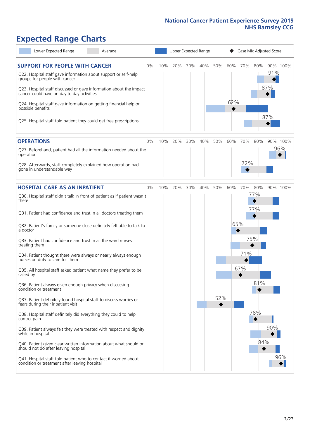# **Expected Range Charts**

| Lower Expected Range<br>Average                                                                                   |    |     |         |     | Upper Expected Range |     |     | Case Mix Adjusted Score |     |     |          |
|-------------------------------------------------------------------------------------------------------------------|----|-----|---------|-----|----------------------|-----|-----|-------------------------|-----|-----|----------|
| <b>SUPPORT FOR PEOPLE WITH CANCER</b>                                                                             | 0% | 10% | 20%     | 30% | 40%                  | 50% | 60% | 70%                     | 80% |     | 90% 100% |
| Q22. Hospital staff gave information about support or self-help<br>groups for people with cancer                  |    |     |         |     |                      |     |     |                         |     | 91% |          |
| Q23. Hospital staff discussed or gave information about the impact<br>cancer could have on day to day activities  |    |     |         |     |                      |     |     |                         |     | 87% |          |
| Q24. Hospital staff gave information on getting financial help or<br>possible benefits                            |    |     |         |     |                      |     | 62% |                         |     |     |          |
| Q25. Hospital staff told patient they could get free prescriptions                                                |    |     |         |     |                      |     |     |                         |     | 87% |          |
| <b>OPERATIONS</b>                                                                                                 | 0% | 10% | 20%     | 30% | 40%                  | 50% | 60% | 70%                     | 80% |     | 90% 100% |
| Q27. Beforehand, patient had all the information needed about the<br>operation                                    |    |     |         |     |                      |     |     |                         |     |     | 96%      |
| Q28. Afterwards, staff completely explained how operation had<br>gone in understandable way                       |    |     |         |     |                      |     |     | 72%                     |     |     |          |
| <b>HOSPITAL CARE AS AN INPATIENT</b>                                                                              | 0% |     | 10% 20% | 30% | 40%                  | 50% | 60% | 70%                     | 80% |     | 90% 100% |
| Q30. Hospital staff didn't talk in front of patient as if patient wasn't<br>there                                 |    |     |         |     |                      |     |     |                         | 77% |     |          |
| Q31. Patient had confidence and trust in all doctors treating them                                                |    |     |         |     |                      |     |     |                         | 77% |     |          |
| Q32. Patient's family or someone close definitely felt able to talk to<br>a doctor                                |    |     |         |     |                      |     |     | 65%                     |     |     |          |
| Q33. Patient had confidence and trust in all the ward nurses<br>treating them                                     |    |     |         |     |                      |     |     |                         | 75% |     |          |
| Q34. Patient thought there were always or nearly always enough<br>nurses on duty to care for them                 |    |     |         |     |                      |     |     | 71%                     |     |     |          |
| Q35. All hospital staff asked patient what name they prefer to be<br>called by                                    |    |     |         |     |                      |     |     | 67%                     |     |     |          |
| Q36. Patient always given enough privacy when discussing<br>condition or treatment                                |    |     |         |     |                      |     |     |                         | 81% |     |          |
| Q37. Patient definitely found hospital staff to discuss worries or<br>fears during their inpatient visit          |    |     |         |     |                      | 52% |     |                         |     |     |          |
| Q38. Hospital staff definitely did everything they could to help<br>control pain                                  |    |     |         |     |                      |     |     |                         | 78% |     |          |
| Q39. Patient always felt they were treated with respect and dignity<br>while in hospital                          |    |     |         |     |                      |     |     |                         |     | 90% |          |
| Q40. Patient given clear written information about what should or<br>should not do after leaving hospital         |    |     |         |     |                      |     |     |                         | 84% |     |          |
| Q41. Hospital staff told patient who to contact if worried about<br>condition or treatment after leaving hospital |    |     |         |     |                      |     |     |                         |     |     | 96%      |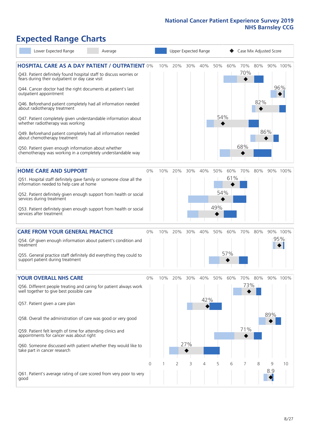# **Expected Range Charts**

| Lower Expected Range<br>Average                                                                                                                                                |                |     |     |     | Upper Expected Range |     |     | Case Mix Adjusted Score |     |          |          |
|--------------------------------------------------------------------------------------------------------------------------------------------------------------------------------|----------------|-----|-----|-----|----------------------|-----|-----|-------------------------|-----|----------|----------|
| <b>HOSPITAL CARE AS A DAY PATIENT / OUTPATIENT 0%</b><br>Q43. Patient definitely found hospital staff to discuss worries or<br>fears during their outpatient or day case visit |                | 10% | 20% | 30% | 40%                  | 50% | 60% | 70%<br>70%              | 80% |          | 90% 100% |
| Q44. Cancer doctor had the right documents at patient's last<br>outpatient appointment                                                                                         |                |     |     |     |                      |     |     |                         |     |          | 96%      |
| Q46. Beforehand patient completely had all information needed<br>about radiotherapy treatment                                                                                  |                |     |     |     |                      | 54% |     |                         | 82% |          |          |
| Q47. Patient completely given understandable information about<br>whether radiotherapy was working                                                                             |                |     |     |     |                      |     |     |                         |     | 86%      |          |
| Q49. Beforehand patient completely had all information needed<br>about chemotherapy treatment<br>Q50. Patient given enough information about whether                           |                |     |     |     |                      |     |     | 68%                     |     |          |          |
| chemotherapy was working in a completely understandable way                                                                                                                    |                |     |     |     |                      |     |     |                         |     |          |          |
| <b>HOME CARE AND SUPPORT</b>                                                                                                                                                   | 0%             | 10% | 20% | 30% | 40%                  | 50% | 60% | 70%                     | 80% |          | 90% 100% |
| Q51. Hospital staff definitely gave family or someone close all the<br>information needed to help care at home                                                                 |                |     |     |     |                      |     | 61% |                         |     |          |          |
| Q52. Patient definitely given enough support from health or social<br>services during treatment                                                                                |                |     |     |     |                      | 54% |     |                         |     |          |          |
| Q53. Patient definitely given enough support from health or social<br>services after treatment                                                                                 |                |     |     |     |                      | 49% |     |                         |     |          |          |
| <b>CARE FROM YOUR GENERAL PRACTICE</b>                                                                                                                                         | $0\%$          | 10% | 20% | 30% | 40%                  | 50% | 60% | 70%                     | 80% |          | 90% 100% |
| Q54. GP given enough information about patient's condition and<br>treatment                                                                                                    |                |     |     |     |                      |     |     |                         |     |          | 95%      |
| Q55. General practice staff definitely did everything they could to<br>support patient during treatment                                                                        |                |     |     |     |                      |     | 57% |                         |     |          |          |
| <b>YOUR OVERALL NHS CARE</b>                                                                                                                                                   | 0%             | 10% | 20% | 30% | 40%                  | 50% | 60% | 70%                     | 80% |          | 90% 100% |
| Q56. Different people treating and caring for patient always work<br>well together to give best possible care                                                                  |                |     |     |     | 42%                  |     |     | 73%                     |     |          |          |
| Q57. Patient given a care plan                                                                                                                                                 |                |     |     |     |                      |     |     |                         |     | 89%      |          |
| Q58. Overall the administration of care was good or very good                                                                                                                  |                |     |     |     |                      |     |     |                         |     |          |          |
| Q59. Patient felt length of time for attending clinics and<br>appointments for cancer was about right                                                                          |                |     |     |     |                      |     |     | 71%                     |     |          |          |
| Q60. Someone discussed with patient whether they would like to<br>take part in cancer research                                                                                 |                |     |     | 27% |                      |     |     |                         |     |          |          |
|                                                                                                                                                                                | $\overline{0}$ |     | 2   | 3   | 4                    | 5   | 6   | 7                       | 8   | 9<br>8.9 | 10       |
| Q61. Patient's average rating of care scored from very poor to very<br>good                                                                                                    |                |     |     |     |                      |     |     |                         |     |          |          |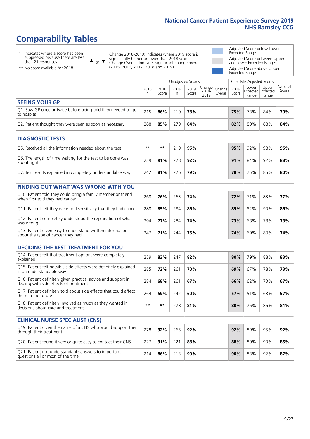# **Comparability Tables**

\* Indicates where a score has been suppressed because there are less than 21 responses.

\*\* No score available for 2018.

 $\triangle$  or  $\nabla$ 

Change 2018-2019: Indicates where 2019 score is significantly higher or lower than 2018 score Change Overall: Indicates significant change overall (2015, 2016, 2017, 2018 and 2019).

Adjusted Score below Lower Expected Range Adjusted Score between Upper and Lower Expected Ranges Adjusted Score above Upper

Expected Range

|                                                                                                                 |           |               | Unadjusted Scores |               |                                                    |         |               | Case Mix Adjusted Scores                   |                |                   |
|-----------------------------------------------------------------------------------------------------------------|-----------|---------------|-------------------|---------------|----------------------------------------------------|---------|---------------|--------------------------------------------|----------------|-------------------|
|                                                                                                                 | 2018<br>n | 2018<br>Score | 2019<br>n         | 2019<br>Score | $\sqrt{(\text{Change})^2}$ Change<br>2018-<br>2019 | Overall | 2019<br>Score | Lower<br><b>Expected Expected</b><br>Range | Upper<br>Range | National<br>Score |
| <b>SEEING YOUR GP</b>                                                                                           |           |               |                   |               |                                                    |         |               |                                            |                |                   |
| Q1. Saw GP once or twice before being told they needed to go<br>to hospital                                     | 215       | 86%           | 210               | 78%           |                                                    |         | 75%           | 73%                                        | 84%            | 79%               |
| Q2. Patient thought they were seen as soon as necessary                                                         | 288       | 85%           | 279               | 84%           |                                                    |         | 82%           | 80%                                        | 88%            | 84%               |
| <b>DIAGNOSTIC TESTS</b>                                                                                         |           |               |                   |               |                                                    |         |               |                                            |                |                   |
| the contract of the contract of the contract of the contract of the contract of the contract of the contract of |           |               |                   |               |                                                    |         |               |                                            |                |                   |

| O5. Received all the information needed about the test                    | $***$ | **  | 219 | 95% |  | 95% | 92% | 98% | 95% |
|---------------------------------------------------------------------------|-------|-----|-----|-----|--|-----|-----|-----|-----|
| Q6. The length of time waiting for the test to be done was<br>about right | 239   | 91% | 228 | 92% |  | 91% | 84% | 92% | 88% |
| Q7. Test results explained in completely understandable way               | 242   | 81% | 226 | 79% |  | 78% | 75% | 85% | 80% |

| <b>FINDING OUT WHAT WAS WRONG WITH YOU</b>                                                      |     |     |     |     |     |     |     |     |
|-------------------------------------------------------------------------------------------------|-----|-----|-----|-----|-----|-----|-----|-----|
| Q10. Patient told they could bring a family member or friend<br>when first told they had cancer | 268 | 76% | 263 | 74% | 72% | 71% | 83% | 77% |
| Q11. Patient felt they were told sensitively that they had cancer                               | 288 | 85% | 284 | 86% | 85% | 82% | 90% | 86% |
| Q12. Patient completely understood the explanation of what<br>was wrong                         | 294 | 77% | 284 | 74% | 73% | 68% | 78% | 73% |
| Q13. Patient given easy to understand written information<br>about the type of cancer they had  | 247 | 71% | 244 | 76% | 74% | 69% | 80% | 74% |

| <b>DECIDING THE BEST TREATMENT FOR YOU</b>                                                              |      |     |     |     |     |     |     |     |
|---------------------------------------------------------------------------------------------------------|------|-----|-----|-----|-----|-----|-----|-----|
| Q14. Patient felt that treatment options were completely<br>explained                                   | 259  | 83% | 247 | 82% | 80% | 79% | 88% | 83% |
| Q15. Patient felt possible side effects were definitely explained<br>in an understandable way           | 285  | 72% | 261 | 70% | 69% | 67% | 78% | 73% |
| Q16. Patient definitely given practical advice and support in<br>dealing with side effects of treatment | 284  | 68% | 261 | 67% | 66% | 62% | 73% | 67% |
| Q17. Patient definitely told about side effects that could affect<br>them in the future                 | 264  | 59% | 242 | 60% | 57% | 51% | 63% | 57% |
| Q18. Patient definitely involved as much as they wanted in<br>decisions about care and treatment        | $**$ | **  | 278 | 81% | 80% | 76% | 86% | 81% |

| <b>CLINICAL NURSE SPECIALIST (CNS)</b>                                                    |     |     |     |     |     |     |     |     |
|-------------------------------------------------------------------------------------------|-----|-----|-----|-----|-----|-----|-----|-----|
| Q19. Patient given the name of a CNS who would support them<br>through their treatment    | 278 | 92% | 265 | 92% | 92% | 89% | 95% | 92% |
| Q20. Patient found it very or quite easy to contact their CNS                             | 227 | 91% | 221 | 88% | 88% | 80% | 90% | 85% |
| Q21. Patient got understandable answers to important<br>questions all or most of the time | 214 | 86% | 213 | 90% | 90% | 83% | 92% | 87% |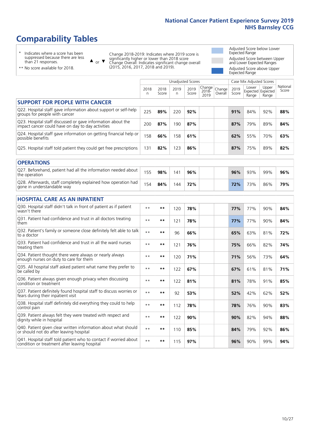# **Comparability Tables**

\* Indicates where a score has been suppressed because there are less than 21 responses.

\*\* No score available for 2018.

 $\triangle$  or  $\nabla$ 

Change 2018-2019: Indicates where 2019 score is significantly higher or lower than 2018 score Change Overall: Indicates significant change overall (2015, 2016, 2017, 2018 and 2019).

Adjusted Score below Lower Expected Range Adjusted Score between Upper and Lower Expected Ranges Adjusted Score above Upper Expected Range

|                                                                                                                   | <b>Unadjusted Scores</b> |               |           |               |                         |                   | Case Mix Adjusted Scores |                                     |                |                   |
|-------------------------------------------------------------------------------------------------------------------|--------------------------|---------------|-----------|---------------|-------------------------|-------------------|--------------------------|-------------------------------------|----------------|-------------------|
|                                                                                                                   | 2018<br>n                | 2018<br>Score | 2019<br>n | 2019<br>Score | Change<br>2018-<br>2019 | Change<br>Overall | 2019<br>Score            | Lower<br>Expected Expected<br>Range | Upper<br>Range | National<br>Score |
| <b>SUPPORT FOR PEOPLE WITH CANCER</b>                                                                             |                          |               |           |               |                         |                   |                          |                                     |                |                   |
| Q22. Hospital staff gave information about support or self-help<br>groups for people with cancer                  | 225                      | 89%           | 220       | 92%           |                         |                   | 91%                      | 84%                                 | 92%            | 88%               |
| Q23. Hospital staff discussed or gave information about the<br>impact cancer could have on day to day activities  | 200                      | 87%           | 190       | 87%           |                         |                   | 87%                      | 79%                                 | 89%            | 84%               |
| Q24. Hospital staff gave information on getting financial help or<br>possible benefits                            | 158                      | 66%           | 158       | 61%           |                         |                   | 62%                      | 55%                                 | 70%            | 63%               |
| Q25. Hospital staff told patient they could get free prescriptions                                                | 131                      | 82%           | 123       | 86%           |                         |                   | 87%                      | 75%                                 | 89%            | 82%               |
| <b>OPERATIONS</b>                                                                                                 |                          |               |           |               |                         |                   |                          |                                     |                |                   |
| Q27. Beforehand, patient had all the information needed about<br>the operation                                    | 155                      | 98%           | 141       | 96%           |                         |                   | 96%                      | 93%                                 | 99%            | 96%               |
| Q28. Afterwards, staff completely explained how operation had<br>gone in understandable way                       | 154                      | 84%           | 144       | 72%           |                         |                   | 72%                      | 73%                                 | 86%            | 79%               |
| <b>HOSPITAL CARE AS AN INPATIENT</b>                                                                              |                          |               |           |               |                         |                   |                          |                                     |                |                   |
| Q30. Hospital staff didn't talk in front of patient as if patient<br>wasn't there                                 | $**$                     | $***$         | 120       | 78%           |                         |                   | 77%                      | 77%                                 | 90%            | 84%               |
| Q31. Patient had confidence and trust in all doctors treating<br>them                                             | $* *$                    | $***$         | 121       | 78%           |                         |                   | 77%                      | 77%                                 | 90%            | 84%               |
| Q32. Patient's family or someone close definitely felt able to talk<br>to a doctor                                | $* *$                    | $***$         | 96        | 66%           |                         |                   | 65%                      | 63%                                 | 81%            | 72%               |
| O33. Patient had confidence and trust in all the ward nurses<br>treating them                                     | $\star\star$             | **            | 121       | 76%           |                         |                   | 75%                      | 66%                                 | 82%            | 74%               |
| Q34. Patient thought there were always or nearly always<br>enough nurses on duty to care for them                 | $**$                     | $***$         | 120       | 71%           |                         |                   | 71%                      | 56%                                 | 73%            | 64%               |
| Q35. All hospital staff asked patient what name they prefer to<br>be called by                                    | $* *$                    | $***$         | 122       | 67%           |                         |                   | 67%                      | 61%                                 | 81%            | 71%               |
| Q36. Patient always given enough privacy when discussing<br>condition or treatment                                | $* *$                    | $**$          | 122       | 81%           |                         |                   | 81%                      | 78%                                 | 91%            | 85%               |
| Q37. Patient definitely found hospital staff to discuss worries or<br>fears during their inpatient visit          | $* *$                    | **            | 92        | 53%           |                         |                   | 52%                      | 42%                                 | 62%            | 52%               |
| Q38. Hospital staff definitely did everything they could to help<br>control pain                                  | $* *$                    | $***$         | 112       | 78%           |                         |                   | 78%                      | 76%                                 | 90%            | 83%               |
| Q39. Patient always felt they were treated with respect and<br>dignity while in hospital                          | $* *$                    | $**$          | 122       | 90%           |                         |                   | 90%                      | 82%                                 | 94%            | 88%               |
| Q40. Patient given clear written information about what should<br>or should not do after leaving hospital         | $**$                     | $***$         | 110       | 85%           |                         |                   | 84%                      | 79%                                 | 92%            | 86%               |
| Q41. Hospital staff told patient who to contact if worried about<br>condition or treatment after leaving hospital | $* *$                    | $***$         | 115       | 97%           |                         |                   | 96%                      | 90%                                 | 99%            | 94%               |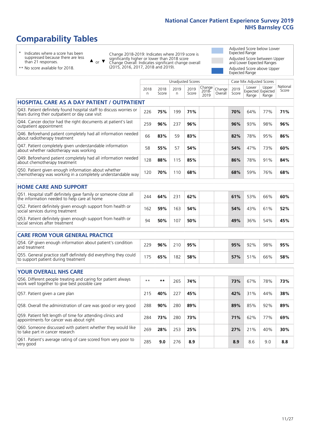# **Comparability Tables**

\* Indicates where a score has been suppressed because there are less than 21 responses.

 $\triangle$  or  $\nabla$ 

Change 2018-2019: Indicates where 2019 score is significantly higher or lower than 2018 score Change Overall: Indicates significant change overall (2015, 2016, 2017, 2018 and 2019).

Adjusted Score below Lower Expected Range Adjusted Score between Upper and Lower Expected Ranges Adjusted Score above Upper Expected Range

| ** No score available for 2018. |  |
|---------------------------------|--|

|                                                                                                                       |              |               | <b>Unadjusted Scores</b> |               |                            |                   |               | Case Mix Adjusted Scores |                                     |                   |
|-----------------------------------------------------------------------------------------------------------------------|--------------|---------------|--------------------------|---------------|----------------------------|-------------------|---------------|--------------------------|-------------------------------------|-------------------|
|                                                                                                                       | 2018<br>n    | 2018<br>Score | 2019<br>n                | 2019<br>Score | Change<br>$2018 -$<br>2019 | Change<br>Overall | 2019<br>Score | Lower<br>Range           | Upper<br>Expected Expected<br>Range | National<br>Score |
| <b>HOSPITAL CARE AS A DAY PATIENT / OUTPATIENT</b>                                                                    |              |               |                          |               |                            |                   |               |                          |                                     |                   |
| Q43. Patient definitely found hospital staff to discuss worries or<br>fears during their outpatient or day case visit | 226          | 75%           | 199                      | 71%           |                            |                   | 70%           | 64%                      | 77%                                 | 71%               |
| Q44. Cancer doctor had the right documents at patient's last<br>outpatient appointment                                | 259          | 96%           | 237                      | 96%           |                            |                   | 96%           | 93%                      | 98%                                 | 96%               |
| Q46. Beforehand patient completely had all information needed<br>about radiotherapy treatment                         | 66           | 83%           | 59                       | 83%           |                            |                   | 82%           | 78%                      | 95%                                 | 86%               |
| Q47. Patient completely given understandable information<br>about whether radiotherapy was working                    | 58           | 55%           | 57                       | 54%           |                            |                   | 54%           | 47%                      | 73%                                 | 60%               |
| Q49. Beforehand patient completely had all information needed<br>about chemotherapy treatment                         | 128          | 88%           | 115                      | 85%           |                            |                   | 86%           | 78%                      | 91%                                 | 84%               |
| Q50. Patient given enough information about whether<br>chemotherapy was working in a completely understandable way    | 120          | 70%           | 110                      | 68%           |                            |                   | 68%           | 59%                      | 76%                                 | 68%               |
| <b>HOME CARE AND SUPPORT</b>                                                                                          |              |               |                          |               |                            |                   |               |                          |                                     |                   |
| Q51. Hospital staff definitely gave family or someone close all<br>the information needed to help care at home        | 244          | 64%           | 231                      | 62%           |                            |                   | 61%           | 53%                      | 66%                                 | 60%               |
| Q52. Patient definitely given enough support from health or<br>social services during treatment                       | 162          | 59%           | 163                      | 54%           |                            |                   | 54%           | 43%                      | 61%                                 | 52%               |
| Q53. Patient definitely given enough support from health or<br>social services after treatment                        | 94           | 50%           | 107                      | 50%           |                            |                   | 49%           | 36%                      | 54%                                 | 45%               |
| <b>CARE FROM YOUR GENERAL PRACTICE</b>                                                                                |              |               |                          |               |                            |                   |               |                          |                                     |                   |
| Q54. GP given enough information about patient's condition<br>and treatment                                           | 229          | 96%           | 210                      | 95%           |                            |                   | 95%           | 92%                      | 98%                                 | 95%               |
| Q55. General practice staff definitely did everything they could<br>to support patient during treatment               | 175          | 65%           | 182                      | 58%           |                            |                   | 57%           | 51%                      | 66%                                 | 58%               |
| <b>YOUR OVERALL NHS CARE</b>                                                                                          |              |               |                          |               |                            |                   |               |                          |                                     |                   |
| Q56. Different people treating and caring for patient always<br>work well together to give best possible care         | $\star\star$ | $***$         | 265                      | 74%           |                            |                   | 73%           | 67%                      | 78%                                 | 73%               |
| Q57. Patient given a care plan                                                                                        | 215          | 40%           | 227                      | 45%           |                            |                   | 42%           | 31%                      | 44%                                 | 38%               |
| Q58. Overall the administration of care was good or very good                                                         | 288          | 90%           | 280                      | 89%           |                            |                   | 89%           | 85%                      | 92%                                 | 89%               |
| Q59. Patient felt length of time for attending clinics and<br>appointments for cancer was about right                 | 284          | 73%           | 280                      | 73%           |                            |                   | 71%           | 62%                      | 77%                                 | 69%               |
| Q60. Someone discussed with patient whether they would like<br>to take part in cancer research                        | 269          | 28%           | 253                      | 25%           |                            |                   | 27%           | 21%                      | 40%                                 | 30%               |
| Q61. Patient's average rating of care scored from very poor to<br>very good                                           | 285          | 9.0           | 276                      | 8.9           |                            |                   | 8.9           | 8.6                      | 9.0                                 | 8.8               |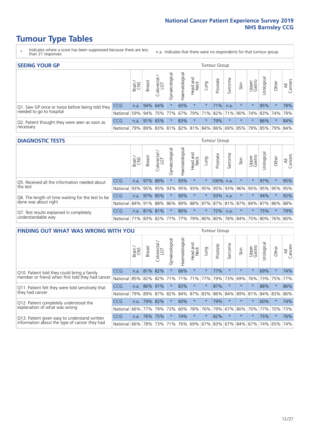- \* Indicates where a score has been suppressed because there are less than 21 responses.
- n.a. Indicates that there were no respondents for that tumour group.

| <b>SEEING YOUR GP</b>                           |            |              |                 |            |                    |                |                                               |         | Tumour Group |         |         |                 |                       |         |                |
|-------------------------------------------------|------------|--------------|-----------------|------------|--------------------|----------------|-----------------------------------------------|---------|--------------|---------|---------|-----------------|-----------------------|---------|----------------|
|                                                 |            | Brain<br>CNS | <b>Breast</b>   | Colorectal | ᠊ᢛ<br>Gynaecologic | Haematological | Head and<br>Neck                              | Lung    | Prostate     | Sarcoma | Skin    | Upper<br>Gastro | $\sigma$<br>Jrologica | Other   | All<br>Cancers |
| Q1. Saw GP once or twice before being told they | <b>CCG</b> |              | n.a. $94\%$ 64% |            |                    | 65%            | $\star$                                       | $\star$ | 71%          | n.a.    | $\star$ |                 | 85%                   | $\star$ | 78%            |
| needed to go to hospital                        | National   | 59%          |                 |            | 94% 75% 77%        |                | 67%   79%   71%   82%   71%   90%             |         |              |         |         |                 | 74% 83% 74% 79%       |         |                |
| Q2. Patient thought they were seen as soon as   | <b>CCG</b> | n.a.         |                 | 91% 65%    | $\star$            | 83%            | $\star$                                       | $\star$ | 79%          | $\star$ | $\star$ | $\star$         | 86%                   | $\star$ | 84%            |
| necessary                                       | National   | 79%          |                 | 89% 83%    |                    |                | 81%   82%   81%   84%   86%   69%   85%   79% |         |              |         |         |                 | 85% 79%               |         | 84%            |

#### **DIAGNOSTIC TESTS** Tumour Group

|                                                   |                                          | Brain       | <b>Breast</b> | Colorectal<br>LGT | ᅙ<br>Gynaecologic | Haematological | Head and<br>Neck | Lung     | Prostate  | Sarcoma | Skin                                        | Upper<br>Gastro | rological   | Other   | All<br>Cancers |
|---------------------------------------------------|------------------------------------------|-------------|---------------|-------------------|-------------------|----------------|------------------|----------|-----------|---------|---------------------------------------------|-----------------|-------------|---------|----------------|
| Q5. Received all the information needed about     | <b>CCG</b>                               | n.a.        |               | 97% 89%           | $\star$           | 93%            | $\star$          | $^\star$ | 100% n.a. |         | $\star$                                     | $\star$         | 97%         | $\star$ | 95%            |
| the test                                          | National                                 | 93%         |               | 95% 95%           |                   | 93% 95%        |                  | 93% 95%  | 95%       | 93%     | 96%                                         |                 | 95% 95% 95% |         | 95%            |
| Q6. The length of time waiting for the test to be | <b>CCG</b>                               | n.a.        | 97% 85%       |                   | $\star$           | 90%            | $\star$          | $\star$  | 93%       | n.a.    | $\star$                                     | $\star$         | 94%         | $\star$ | 92%            |
| done was about right                              | National                                 | 84% 91% 88% |               |                   |                   |                |                  |          |           |         | 86% 89% 88% 87% 87% 81% 87% 84% 87% 86% 88% |                 |             |         |                |
| Q7. Test results explained in completely          | <b>CCG</b>                               | n.a.        |               | 81% 81%           | $\star$           | 80%            | $\star$          | $\star$  | 72%       | n.a.    | $\star$                                     | $\star$         | 75%         | $\star$ | 79%            |
| understandable way                                | National 71% 83% 82% 77% 77% 79% 80% 80% |             |               |                   |                   |                |                  |          |           |         | 78% 84% 75% 80% 76% 80%                     |                 |             |         |                |

| <b>FINDING OUT WHAT WAS WRONG WITH YOU</b>        |            |        |               |                        |                |                |                        |                     | Tumour Group |         |         |                 |            |        |                |
|---------------------------------------------------|------------|--------|---------------|------------------------|----------------|----------------|------------------------|---------------------|--------------|---------|---------|-----------------|------------|--------|----------------|
|                                                   |            | Brain  | <b>Breast</b> | olorectal.<br>LGT<br>Û | Gynaecological | Haematological | ad and<br>Neck<br>Head | Lung                | Prostate     | Sarcoma | Skin    | Upper<br>Gastro | Irological | Other  | All<br>Cancers |
| Q10. Patient told they could bring a family       | CCG        | n.a.   | 81%           | 82%                    |                | 66%            | $\star$                | $\star$             | 77%          | $\ast$  | $\star$ | $\star$         | 69%        | $\ast$ | 74%            |
| member or friend when first told they had cancer  | National   | 85%    | 82%           | 82%                    | 71%            | 71%            | 71%                    | 77%                 | 79%          | 73%     | 69%     | 76%             | 73%        | 75%    | 77%            |
| Q11. Patient felt they were told sensitively that | CCG        | n.a.   | 86%           | 91%                    |                | 83%            | $\star$                | $\star$             | 87%          | $\star$ | $\star$ | $\star$         | 88%        | $\ast$ | 86%            |
| they had cancer                                   | National   | 79%    | 89% 87%       |                        | 82%            |                | 84% 87%                | 83%                 | 86%          | 84%     | 89%     | 81%             | 84% 83%    |        | 86%            |
| Q12. Patient completely understood the            | CCG        | n.a.   | 79%           | 82%                    |                | 60%            | $\star$                | $\star$             | 79%          | $\star$ | $\star$ |                 | 60%        | $\ast$ | 74%            |
| explanation of what was wrong                     | National   | 66%    | 77%           | 79%                    | 73%            | 60%            | 78%                    | 76%                 | 79%          | 67%     | 80%     | 70%             | 77%        | 70%    | 73%            |
| Q13. Patient given easy to understand written     | <b>CCG</b> | n.a.   | 76%           | 75%                    |                | 74%            | $\star$                | $\star$             | 82%          | $\star$ | $\star$ | $\star$         | 75%        | $\ast$ | 76%            |
| information about the type of cancer they had     | National   | $66\%$ | 78%           | 73%                    | 71%            | 76%            |                        | 69% 67% 83% 67% 84% |              |         |         | 67%             | 74%        | 65%    | 74%            |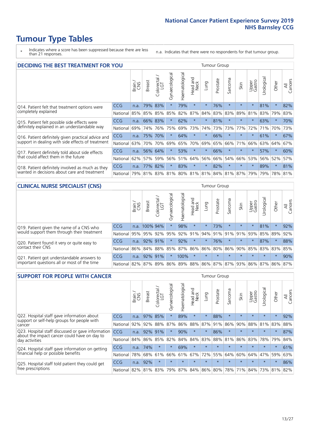- \* Indicates where a score has been suppressed because there are less than 21 responses.
- n.a. Indicates that there were no respondents for that tumour group.

| <b>DECIDING THE BEST TREATMENT FOR YOU</b>         |          |       |               |            |                |                |                         |         | Tumour Group |                                         |         |                 |            |             |                |
|----------------------------------------------------|----------|-------|---------------|------------|----------------|----------------|-------------------------|---------|--------------|-----------------------------------------|---------|-----------------|------------|-------------|----------------|
|                                                    |          | Brain | <b>Breast</b> | Colorectal | Gynaecological | Haematological | ead and<br>Neck<br>Head | Lung    | Prostate     | arcoma<br>ιñ                            | Skin    | Upper<br>Gastro | Jrological | Other       | All<br>Cancers |
| Q14. Patient felt that treatment options were      | CCG      | n.a.  | 79%           | 83%        | $\star$        | 79%            | $\star$                 | $\star$ | 76%          | $\star$                                 | $\star$ | $\star$         | 81%        | $\star$     | 82%            |
| completely explained                               | National | 85%   |               | 85% 85%    | 85%            | 82%            | 87%                     | 84%     | 83%          | 83%                                     | 89%     | 81%             | 83%        | 79%         | 83%            |
| Q15. Patient felt possible side effects were       | CCG      | n.a.  |               | 66% 83%    | $\star$        | 62%            | $\ast$                  | $\star$ | 81%          | $\star$                                 | $\star$ | $\star$         | 63%        | $\star$     | 70%            |
| definitely explained in an understandable way      | National | 69%   | 74%           | 76%        | 75%            | 69%            | 73%                     | 74%     | 73%          | 73%                                     | 77%     | 72%             | 71%        | 70%         | 73%            |
| Q16. Patient definitely given practical advice and | CCG      | n.a.  | 75%           | 70%        | $\star$        | 64%            | $\ast$                  | $\star$ | 66%          | $\star$                                 |         | $\star$         | 61%        | $\star$     | 67%            |
| support in dealing with side effects of treatment  | National | 63%   | 70%           | 70%        | 69%            | 65%            | 70%                     | 69%     | 65%          | 66%                                     | 71%     | 66%             | 63%        | 64%         | 67%            |
| Q17. Patient definitely told about side effects    | CCG      | n.a.  | 56%           | 64%        | $\star$        | 53%            | $\star$                 | $\star$ | 66%          | $\star$                                 | $\star$ | $\star$         | 57%        | $\star$     | 60%            |
| that could affect them in the future               | National | 62%   | 57%           | 59%        | 56%            | 51%            | 64%                     | 56%     | 66%          | 54%                                     | 66%     | 53%             | 56% 52%    |             | 57%            |
| Q18. Patient definitely involved as much as they   | CCG      | n.a.  | 77%           | 82%        | $\star$        | 83%            | $\star$                 | $\star$ | 82%          | $\star$                                 | $\star$ | $\star$         | 89%        | $\star$     | 81%            |
| wanted in decisions about care and treatment       | National | 79%   |               |            |                |                |                         |         |              | 81% 83% 81% 80% 81% 81% 84% 81% 87% 79% |         |                 |            | 79% 78% 81% |                |

#### **CLINICAL NURSE SPECIALIST (CNS)** Tumour Group

|                                             |            | Brain | Breast        | Colorectal<br>LGT | ᢛ<br>Gynaecologi | Haematological  | Head and<br>Neck | Lung    | Prostate | Sarcoma | Skin                        | Upper<br>Gastro | $\sigma$<br>Irologica | Other   | All<br>Cancers |
|---------------------------------------------|------------|-------|---------------|-------------------|------------------|-----------------|------------------|---------|----------|---------|-----------------------------|-----------------|-----------------------|---------|----------------|
| Q19. Patient given the name of a CNS who    | <b>CCG</b> |       | n.a. 100% 94% |                   |                  | 98%             | $\star$          |         | 73%      | $\star$ | $\star$                     |                 | 81%                   | $\star$ | 92%            |
| would support them through their treatment  | National   | 95%   | 95%           | 92%               | 95%              | 92%             | 91%              | 94% 91% |          | 91%     | 91%                         | 93%             | 85% 89%               |         | 92%            |
| Q20. Patient found it very or quite easy to | <b>CCG</b> | n.a.  | 92% 91%       |                   |                  | 92%             | $\star$          | $\star$ | 76%      |         | $\star$                     | $\star$         | 87%                   | $\star$ | 88%            |
| contact their CNS                           | National   | 86%   | 84%           | 88%               | 85%              | 87% 86% 86% 80% |                  |         |          | 86%     | 90%                         | 85%             | 83% 83%               |         | 85%            |
| Q21. Patient got understandable answers to  | CCG        | n.a.  | 92% 91%       |                   |                  | 100%            | $\star$          | $\star$ | $\star$  | $\star$ | $\star$                     | $\star$         | $\star$               | $\star$ | 90%            |
| important questions all or most of the time | National   | 82%   | 87%           | 89%               |                  |                 |                  |         |          |         | 86% 89% 88% 86% 87% 87% 93% |                 | 86% 87% 86% 87%       |         |                |

| <b>SUPPORT FOR PEOPLE WITH CANCER</b>                                                             |              |       |               |            |                |                |                        |             | <b>Tumour Group</b> |         |         |                 |            |         |                |
|---------------------------------------------------------------------------------------------------|--------------|-------|---------------|------------|----------------|----------------|------------------------|-------------|---------------------|---------|---------|-----------------|------------|---------|----------------|
|                                                                                                   |              | Brain | <b>Breast</b> | Colorectal | Gynaecological | Haematological | ad and<br>Neck<br>Head | Lung        | Prostate            | Sarcoma | Skin    | Upper<br>Gastro | Jrological | Other   | All<br>Cancers |
| Q22. Hospital staff gave information about                                                        | CCG          | n.a.  | 97%           | 85%        | $\star$        | 89%            | $\star$                | $\star$     | 88%                 | $\star$ | $\star$ | $\star$         | $\star$    | $\star$ | 92%            |
| support or self-help groups for people with<br>cancer                                             | National     | 92%   | 92%           | 88%        | 87%            | 86%            | 88%                    | 87%         | 91%                 | 86%     | 90%     | 88%             | 81%        | 83%     | 88%            |
| Q23. Hospital staff discussed or gave information<br>about the impact cancer could have on day to | CCG          | n.a.  | 92%           | 91%        | $\star$        | 90%            | $\star$                | $\star$     | 86%                 | $\star$ | $\star$ | $\star$         | $\star$    | $\star$ | 87%            |
| day activities                                                                                    | National     | 84%   | 86%           | 85%        | 82%            | 84%            | 84%                    | 83%         | 88%                 | 81%     | 86%     | 83%             | 78%        | 79%     | 84%            |
| Q24. Hospital staff gave information on getting                                                   | CCG          | n.a.  | 74%           | $\star$    | $\star$        | 69%            | $\star$                | $\star$     | $\star$             | $\star$ |         | $\star$         | $\star$    | $\ast$  | 61%            |
| financial help or possible benefits                                                               | National     | 78%   | 68%           | 61%        | 66%            | 61%            | 67%                    | 72%         | 55%                 | 64%     | 60%     | 64%             | 47%        | 59%     | 63%            |
| Q25. Hospital staff told patient they could get                                                   | CCG          | n.a.  | 92%           |            | $\star$        |                | $\star$                | $\star$     | $\star$             | $\star$ |         | $\star$         | $\star$    | $\star$ | 86%            |
| free prescriptions                                                                                | National 82% |       | 81%           | 83%        | 79%            | 87%            |                        | 84% 86% 80% |                     | 78%     | 71%     | 84%             |            | 73% 81% | 82%            |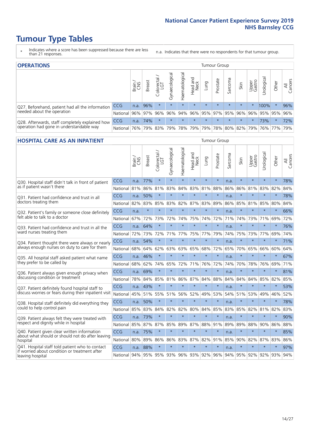- \* Indicates where a score has been suppressed because there are less than 21 responses.
- n.a. Indicates that there were no respondents for that tumour group.

| <b>OPERATIONS</b>                                |            |       |               |            |                   |                |                                   |         | Tumour Group |         |                             |                 |                                  |         |                |
|--------------------------------------------------|------------|-------|---------------|------------|-------------------|----------------|-----------------------------------|---------|--------------|---------|-----------------------------|-----------------|----------------------------------|---------|----------------|
|                                                  |            | Brain | <b>Breast</b> | Colorectal | ক<br>Gynaecologic | Haematological | Head and<br>Neck                  | Lung    | Prostate     | Sarcoma | Skin                        | Upper<br>Gastro | $\overline{\sigma}$<br>Irologica | Other   | All<br>Cancers |
| Q27. Beforehand, patient had all the information | <b>CCG</b> | n.a.  | 96%           |            | $\star$           | $\star$        | $\star$                           | $\star$ | $\star$      | $\star$ | $\star$                     |                 | 100%                             | $\ast$  | 96%            |
| needed about the operation                       | National   | 96%   |               | 97% 96%    | 96%               |                | 94%   96%   95%   97%   95%   96% |         |              |         |                             | $96\%$          |                                  | 95% 95% | 96%            |
| Q28. Afterwards, staff completely explained how  | CCG        | n.a.  | 74%           |            | $\star$           | $\star$        | $\star$                           | $\star$ | $\star$      | $\star$ | $\star$                     | $\star$         | 73%                              | $\star$ | 72%            |
| operation had gone in understandable way         | National   | 76%   |               | 79% 83%    |                   |                | 79% 78% 79%                       |         |              |         | 79%   78%   80%   82%   79% |                 |                                  | 76% 77% | 79%            |

#### **HOSPITAL CARE AS AN INPATIENT** Tumour Group

|                                                                                                   |            | Brain | Breast  | Colorectal /<br>LGT | Gynaecological | Haematological  | Head and<br>Neck | Lung    | Prostate | Sarcoma | Skin    | Upper<br>Gastro | Urological      | Other   | All<br>Cancers |
|---------------------------------------------------------------------------------------------------|------------|-------|---------|---------------------|----------------|-----------------|------------------|---------|----------|---------|---------|-----------------|-----------------|---------|----------------|
| Q30. Hospital staff didn't talk in front of patient                                               | CCG        | n.a.  | 77%     | $\star$             | $\star$        | $\star$         | $\star$          | $\star$ | $\star$  | n.a.    | $\star$ | $\star$         | $\star$         | $\star$ | 78%            |
| as if patient wasn't there                                                                        | National   | 81%   | 86%     | 81%                 | 83%            | 84%             |                  | 83% 81% | 88%      | 86%     |         |                 | 86% 81% 83%     | 82%     | 84%            |
| 031. Patient had confidence and trust in all                                                      | CCG        | n.a.  | 50%     | $\star$             | $\star$        | $\star$         | $\star$          | $\star$ | $\star$  | n.a.    | $\star$ | $\star$         | $\star$         | $\star$ | 78%            |
| doctors treating them                                                                             | National   | 82%   | 83%     | 85%                 | 83%            | 82%             | 87%              | 83%     | 89%      | 86%     | 85%     | 81%             | 85%             | 80%     | 84%            |
| Q32. Patient's family or someone close definitely                                                 | CCG        | n.a.  | $\star$ | $\star$             | $\star$        | $\star$         | $\star$          | $\star$ | $\star$  | n.a.    |         |                 | $\star$         | $\star$ | 66%            |
| felt able to talk to a doctor                                                                     | National   | 67%   | 72%     | 73%                 | 72%            | 74%             | 75%              | 74%     | 72%      | 71%     | 74%     | 73%             | 71%             | 69%     | 72%            |
| Q33. Patient had confidence and trust in all the<br>ward nurses treating them                     | CCG        | n.a.  | 64%     | $\star$             | $\star$        | $\star$         | $\star$          | $\star$ | $\star$  | n.a.    | $\star$ | $\star$         | $\star$         | $\star$ | 76%            |
|                                                                                                   | National   | 72%   | 73%     | 72%                 | 71%            | 77%             | 75%              | 77%     | 79%      | 74%     | 75%     | 73%             | 77%             | 69%     | 74%            |
| Q34. Patient thought there were always or nearly<br>always enough nurses on duty to care for them | CCG        | n.a.  | 54%     | $\star$             | $\star$        | $\star$         | $\star$          | $\star$ | $\star$  | n.a.    | $\star$ | $\star$         | $\star$         | $\star$ | 71%            |
|                                                                                                   | National   | 68%   | 64%     | 62%                 |                | 63% 63%         |                  | 65% 68% | 72%      | 65%     |         |                 | 70% 65% 66%     | 60%     | 64%            |
| Q35. All hospital staff asked patient what name<br>they prefer to be called by                    | CCG        | n.a.  | 46%     | $\star$             | $\star$        | $\star$         | $\star$          | $\star$ | $\star$  | n.a.    | $\star$ | $\star$         | $\star$         | $\star$ | 67%            |
|                                                                                                   | National   | 68%   | 62%     | 74%                 | 65%            | 72%             | 71%              | 76%     | 72%      | 74%     | 70%     | 78%             | 76%             | 69%     | 71%            |
| Q36. Patient always given enough privacy when                                                     | <b>CCG</b> | n.a.  | 69%     | $\star$             | $\star$        | $\star$         | $\star$          | $\star$ | $\star$  | n.a.    | $\star$ | $\star$         | $\star$         | $\star$ | 81%            |
| discussing condition or treatment                                                                 | National   | 78%   | 84%     | 85%                 | 81%            | 86%             |                  | 87% 84% | 88%      | 84%     | 84%     | 84%             | 85%             | 82%     | 85%            |
| Q37. Patient definitely found hospital staff to                                                   | CCG        | n.a.  | 43%     | $\star$             | $\star$        | $\star$         | $\star$          | $\star$ | $\star$  | n.a.    | $\star$ | $\star$         | $\star$         | $\star$ | 53%            |
| discuss worries or fears during their inpatient visit                                             | National   | 45%   | 51%     | 55%                 | 51%            | 56%             | 52%              | 49%     | 53%      | 54%     | 51%     | 53%             | 49%             | 46%     | 52%            |
| Q38. Hospital staff definitely did everything they                                                | CCG        | n.a.  | 50%     | $\star$             | $\star$        | $\star$         | $\star$          | $\star$ | $\star$  | n.a.    | $\star$ | $\star$         | $\star$         | $\star$ | 78%            |
| could to help control pain                                                                        | National   | 85%   | 83%     | 84%                 | 82%            | 82%             |                  | 80% 84% | 85%      | 83%     |         | 85% 82%         | 81%             | 82%     | 83%            |
| Q39. Patient always felt they were treated with                                                   | CCG        | n.a.  | 73%     | $\star$             | $\star$        | $\star$         | $\star$          | $\star$ | $\star$  | n.a.    | $\star$ |                 | $\star$         | $\star$ | 90%            |
| respect and dignity while in hospital                                                             | National   | 85%   | 87%     | 87%                 | 85%            | 89%             | 87%              | 88%     | 91%      | 89%     | 89%     | 88%             | 90%             | 86%     | 88%            |
| Q40. Patient given clear written information<br>about what should or should not do after leaving  | <b>CCG</b> | n.a.  | 75%     | $\star$             |                | $\star$         | $\star$          | $\star$ | $\star$  | n.a.    | $\star$ |                 | $\star$         | $\star$ | 85%            |
| hospital                                                                                          | National   | 80%   | 89%     | 86%                 | 86%            | 83%             |                  | 87% 82% | 91%      | 85%     | 90%     | 82%             | 87%             | 83%     | 86%            |
| Q41. Hospital staff told patient who to contact                                                   | CCG        | n.a.  | 88%     | $\star$             | $\star$        | $\star$         | $\star$          | $\star$ | $\star$  | n.a.    | $\star$ | $\star$         | $\star$         | $\star$ | 97%            |
| if worried about condition or treatment after<br>leaving hospital                                 | National   | 94%   |         |                     |                | 95% 95% 93% 96% |                  | 93% 92% | 96%      |         |         |                 | 94% 95% 92% 92% | 93% 94% |                |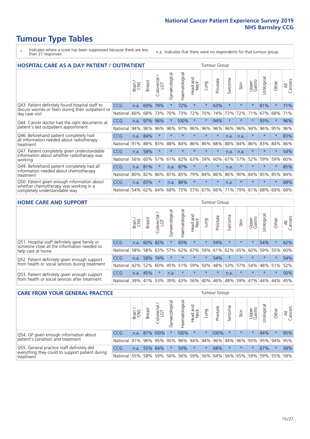- \* Indicates where a score has been suppressed because there are less than 21 responses.
- n.a. Indicates that there were no respondents for that tumour group.

| <b>HOSPITAL CARE AS A DAY PATIENT / OUTPATIENT</b>                                                                    |            |       |               |            |                |                |                        |         | <b>Tumour Group</b> |                      |         |                 |            |         |                |  |  |
|-----------------------------------------------------------------------------------------------------------------------|------------|-------|---------------|------------|----------------|----------------|------------------------|---------|---------------------|----------------------|---------|-----------------|------------|---------|----------------|--|--|
|                                                                                                                       |            | Brain | <b>Breast</b> | Colorectal | Gynaecological | Haematological | ad and<br>Neck<br>Head | Lung    | Prostate            | arcoma<br>$\sqrt{ }$ | Skin    | Upper<br>Gastro | Urological | Other   | All<br>Cancers |  |  |
| Q43. Patient definitely found hospital staff to                                                                       | <b>CCG</b> | n.a.  | 69%           | 79%        | $^\star$       | 72%            | $\star$                | $\star$ | 63%                 | $\star$              | $\star$ | $\star$         | 81%        | $\star$ | 71%            |  |  |
| discuss worries or fears during their outpatient or<br>day case visit                                                 | National   | 66%   | 68%           | 73%        | 70%            | 73%            | 72%                    | 70%     | 74%                 | 72%                  | 72%     | 71%             | 67%        | 68%     | 71%            |  |  |
| Q44. Cancer doctor had the right documents at<br>patient's last outpatient appointment                                | <b>CCG</b> | n.a.  | 97%           | 96%        |                | 100%           | $\star$                | $\star$ | 94%                 | $\star$              | $\star$ | $\star$         | 93%        | $\star$ | 96%            |  |  |
|                                                                                                                       | National   | 94%   | 96%           | 96%        | 96%            | 97%            | 96%                    | 96%     | 96%                 | 96%                  | 96%     | 94%             | 96%        | 95%     | 96%            |  |  |
| Q46. Beforehand patient completely had                                                                                | <b>CCG</b> | n.a.  | 84%           | $\star$    |                |                | $\star$                | $\star$ | $\star$             | n.a.                 | n.a.    | $\star$         | $\star$    | $\ast$  | 83%            |  |  |
| all information needed about radiotherapy<br>treatment                                                                | National   | 91%   | 88%           | 83%        | 88%            | 84%            | 86%                    | 86%     | 88%                 | 88%                  | 84%     | 86%             | 83%        | 84%     | 86%            |  |  |
| Q47. Patient completely given understandable<br>information about whether radiotherapy was                            | <b>CCG</b> | n.a.  | 58%           | $\star$    |                |                | $\star$                | $\star$ | $\star$             | n.a.                 | n.a.    | $\star$         | $\star$    | $\star$ | 54%            |  |  |
| working                                                                                                               | National   | 56%   | 60%           | 57%        | 61%            | 62%            | 63%                    | 59%     | 60%                 | 67%                  | 57%     | 52%             | 59%        | 59%     | 60%            |  |  |
| Q49. Beforehand patient completely had all                                                                            | CCG        | n.a.  | 81%           | $\star$    | n.a.           | 87%            | $\star$                | $\star$ | $\star$             | n.a.                 | $\star$ | $\star$         | $\star$    | $\ast$  | 85%            |  |  |
| information needed about chemotherapy<br>treatment                                                                    | National   | 80%   | 82%           | 86%        | 87%            | 85%            | 79%                    | 84%     | 86%                 | 86%                  | 90%     | 84%             | 85%        | 85%     | 84%            |  |  |
| Q50. Patient given enough information about<br>whether chemotherapy was working in a<br>completely understandable way | <b>CCG</b> | n.a.  | 65%           | $\star$    | n.a.           | 86%            | $\star$                | $\star$ | $\star$             | n.a.                 | $\star$ |                 |            | $\star$ | 68%            |  |  |
|                                                                                                                       | National   | 54%   | 62%           | 64%        | 68%            | 75%            |                        | 57% 67% | 66%                 | 71%                  | 79%     | 61%             | 68%        | 69%     | 68%            |  |  |

#### **HOME CARE AND SUPPORT** Tumour Group

|                                                                                                                   |            | Brain | Breast  | Colorectal<br>LGT | $\sigma$<br>Gynaecologic | Haematological | Head and<br>Neck | <b>Dung</b> | Prostate | Sarcoma | Skin    | Upper<br>Gastro | rological   | Other   | All<br>Cancers |
|-------------------------------------------------------------------------------------------------------------------|------------|-------|---------|-------------------|--------------------------|----------------|------------------|-------------|----------|---------|---------|-----------------|-------------|---------|----------------|
| Q51. Hospital staff definitely gave family or<br>someone close all the information needed to<br>help care at home | <b>CCG</b> | n.a.  | 60% 82% |                   |                          | 65%            | $\ast$           | $\star$     | 59%      | $\star$ | $\star$ | $\star$         | 54%         | $\star$ | 62%            |
|                                                                                                                   | National   | 58%   |         | 58% 63%           | 57%                      | 62%            |                  | 67% 59% 61% |          |         | 62% 65% | 60%             | 59% 55%     |         | 60%            |
| Q52. Patient definitely given enough support<br>from health or social services during treatment                   | <b>CCG</b> | n.a.  | 58% 74% |                   | $\star$                  | $\star$        | $\star$          | $\star$     | 54%      | $\star$ | $\star$ | $\star$         | $\star$     | $\star$ | 54%            |
|                                                                                                                   | National   | 42%   | 52%     | 60%               |                          | 45% 51%        | 59%              | 50%         | 48%      |         | 53% 57% |                 | 54% 48% 51% |         | 52%            |
| Q53. Patient definitely given enough support<br>from health or social services after treatment                    | <b>CCG</b> | n.a.  | 45%     |                   | n.a.                     | $\star$        | $\star$          | $\star$     | $\star$  | n.a.    |         | $\star$         | $\star$     | $\star$ | 50%            |
|                                                                                                                   | National l | 39%   | 41% 53% |                   | 39%                      | $ 43\% $       | 56%              | 40%         | 46%      | 48%     | 59%     | 47%             | 44%         | 44%     | 45%            |

| <b>CARE FROM YOUR GENERAL PRACTICE</b>                                                                     |              |              |               |                        |                   | Tumour Group      |                  |         |                 |         |         |                 |                |         |                |
|------------------------------------------------------------------------------------------------------------|--------------|--------------|---------------|------------------------|-------------------|-------------------|------------------|---------|-----------------|---------|---------|-----------------|----------------|---------|----------------|
|                                                                                                            |              | Brain<br>CNS | <b>Breast</b> | ー<br>Colorectal<br>LGT | σ<br>Gynaecologic | ಸ<br>Haematologic | Head and<br>Neck | Lung    | Prostate        | Sarcoma | Skin    | Upper<br>Gastro | ъ<br>Urologica | Other   | All<br>Cancers |
| Q54. GP given enough information about<br>patient's condition and treatment                                | CCG          | n.a.         |               | 87% 100%               |                   | 100%              | $^\star$         | $\star$ | 100%            |         | $\star$ | $\star$         | 94%            | $\star$ | 95%            |
|                                                                                                            | National 91% |              |               | 96% 95%                | 95%               |                   |                  |         | 96% 94% 94% 96% | 94%     | 96%     | 93%             |                | 95% 94% | 95%            |
| Q55. General practice staff definitely did<br>everything they could to support patient during<br>treatment | CCG          | n.a.         |               | 55% 64%                | $\star$           | 50%               | $\star$          | $\star$ | 68%             | $\star$ | $\star$ | $\star$         | 67%            | $\star$ | 58%            |
|                                                                                                            | National     | 55%          |               | 58% 59%                | 56%               |                   | 56% 59%          |         | 56% 64%         |         | 56% 65% | 59%             |                | 59% 55% | 58%            |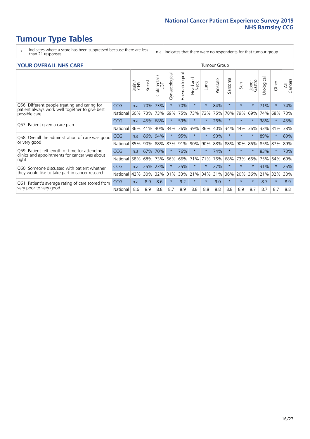- \* Indicates where a score has been suppressed because there are less than 21 responses.
- n.a. Indicates that there were no respondents for that tumour group.

#### **YOUR OVERALL NHS CARE** THE CONSTRUCTION OF THE THROUP GROUP TUMOUR GROUP

| I YON OVERALL NI IS CARL                                        |            |       |               |                             |                |                |                  | anour oroup |          |              |          |                 |                 |         |                |
|-----------------------------------------------------------------|------------|-------|---------------|-----------------------------|----------------|----------------|------------------|-------------|----------|--------------|----------|-----------------|-----------------|---------|----------------|
|                                                                 |            | Brain | <b>Breast</b> | ╮<br>olorectal.<br>LGT<br>Û | Gynaecological | Haematological | Head and<br>Neck | <b>Dung</b> | Prostate | arcoma<br>ιñ | Skin     | Upper<br>Gastro | ত্ত<br>Urologia | Other   | All<br>Cancers |
| Q56. Different people treating and caring for                   | <b>CCG</b> | n.a.  | 70%           | 73%                         |                | 70%            | $\star$          | $\star$     | 84%      | $\star$      | $\star$  | $\star$         | 71%             | $\ast$  | 74%            |
| patient always work well together to give best<br>possible care | National   | 60%   |               | 73% 73%                     | 69%            | 75%            | 73%              | 73%         | 75%      | 70%          | 79%      | 69%             | 74%             | 68%     | 73%            |
| Q57. Patient given a care plan                                  | CCG        | n.a.  | 45%           | 68%                         |                | 59%            | $\star$          | $^\star$    | 26%      | $\star$      | $^\star$ |                 | 38%             | $\star$ | 45%            |
|                                                                 | National   | 36%   | 41%           | 40%                         | 34%            | 36%            | 39%              | 36%         | 40%      | 34%          | 44%      | 36%             | 33%             | 31%     | 38%            |
| Q58. Overall the administration of care was good                | <b>CCG</b> | n.a.  | 86%           | 94%                         |                | 95%            | $\star$          | $^\star$    | 90%      | $\star$      | $\star$  |                 | 89%             | $\star$ | 89%            |
| or very good                                                    | National   | 85%   | $90\%$        | 88%                         | 87%            | 91%            | 90%              | 90%         | 88%      | 88%          | 90%      | 86%             | 85%             | 87%     | 89%            |
| Q59. Patient felt length of time for attending                  | CCG        | n.a.  | 67%           | 70%                         |                | 76%            | $\star$          | $\star$     | 74%      | $\star$      | $\ast$   | $\star$         | 83%             | $\ast$  | 73%            |
| clinics and appointments for cancer was about<br>right          | National   | 58%   | 68%           | 73%                         | 66%            | 66%            | 71%              | 71%         | 76%      | 68%          | 73%      | 66%             | 75%             | 64%     | 69%            |
| Q60. Someone discussed with patient whether                     | <b>CCG</b> | n.a.  | 25% 23%       |                             |                | 25%            | $\star$          | $\star$     | 27%      | $\star$      | $\star$  |                 | 31%             | $\star$ | 25%            |
| they would like to take part in cancer research                 | National   | 42%   | 30%           | 32%                         | 31%            | 33%            | 21%              | 34%         | 31%      | 36%          | 20%      | 36%             | 21%             | 32%     | 30%            |
| Q61. Patient's average rating of care scored from               | CCG        | n.a.  | 8.9           | 8.6                         | $\star$        | 9.2            | $\star$          | $\star$     | 9.0      | $\star$      | $\star$  | $\star$         | 8.7             | $\ast$  | 8.9            |
| very poor to very good                                          | National   | 8.6   | 8.9           | 8.8                         | 8.7            | 8.9            | 8.8              | 8.8         | 8.8      | 8.8          | 8.9      | 8.7             | 8.7             | 8.7     | 8.8            |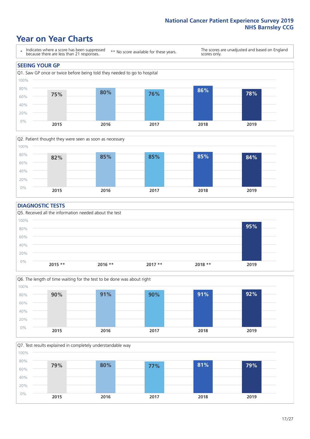### **Year on Year Charts**





#### **DIAGNOSTIC TESTS**





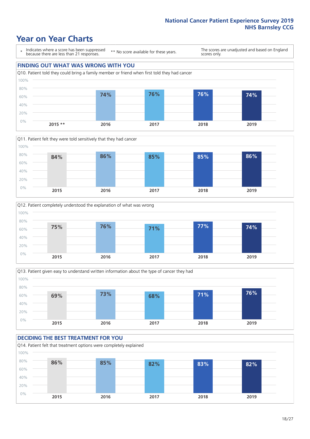### **Year on Year Charts**

\* Indicates where a score has been suppressed because there are less than 21 responses.

\*\* No score available for these years.

The scores are unadjusted and based on England scores only.









#### **DECIDING THE BEST TREATMENT FOR YOU** Q14. Patient felt that treatment options were completely explained 0% 20% 40% 60% 80% 100% **2015 2016 2017 2018 2019 86% 85% 82% 83% 82%**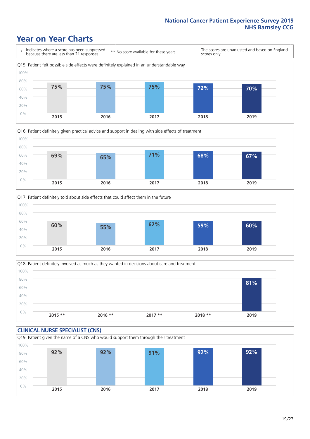### **Year on Year Charts**







Q18. Patient definitely involved as much as they wanted in decisions about care and treatment  $0%$ 20% 40% 60% 80% 100% **2015 \*\* 2016 \*\* 2017 \*\* 2018 \*\* 2019 81%**

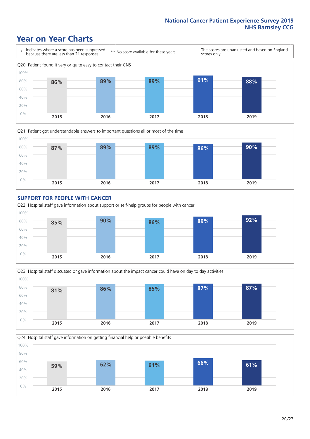### **Year on Year Charts**









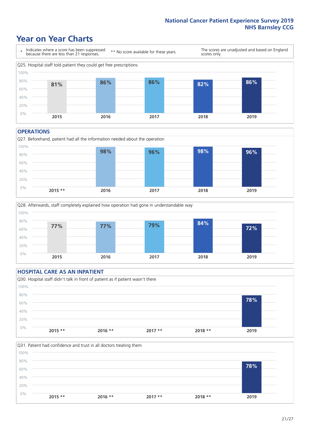### **Year on Year Charts**



#### **OPERATIONS**





#### **HOSPITAL CARE AS AN INPATIENT** Q30. Hospital staff didn't talk in front of patient as if patient wasn't there 0% 20% 40% 60% 80% 100% **2015 \*\* 2016 \*\* 2017 \*\* 2018 \*\* 2019 78%**

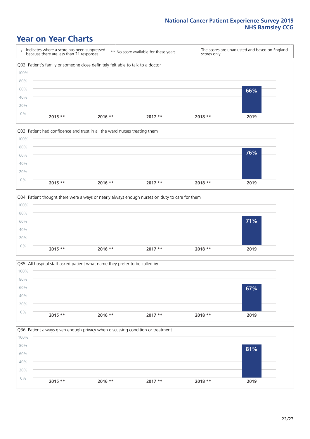### **Year on Year Charts**









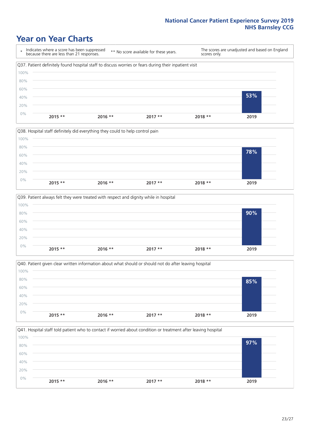### **Year on Year Charts**









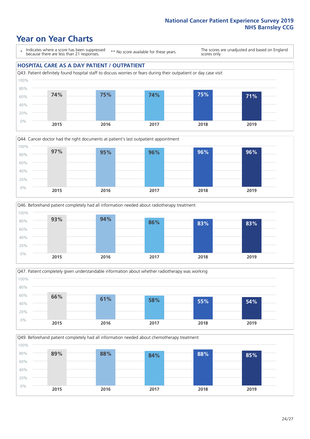### **Year on Year Charts**

\* Indicates where a score has been suppressed because there are less than 21 responses.

\*\* No score available for these years.

The scores are unadjusted and based on England scores only.

#### **HOSPITAL CARE AS A DAY PATIENT / OUTPATIENT**









Q49. Beforehand patient completely had all information needed about chemotherapy treatment 100%

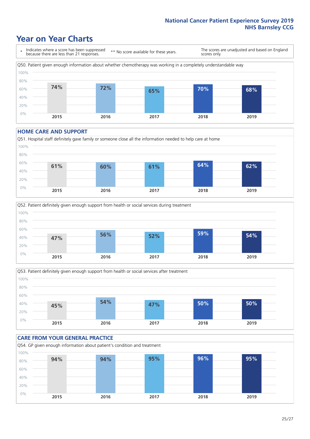### **Year on Year Charts**

\* Indicates where a score has been suppressed because there are less than 21 responses. \*\* No score available for these years. The scores are unadjusted and based on England scores only. Q50. Patient given enough information about whether chemotherapy was working in a completely understandable way 0% 20% 40% 60% 80% 100% **2015 2016 2017 2018 2019 74% 72% 65% 70% 68%**

#### **HOME CARE AND SUPPORT**







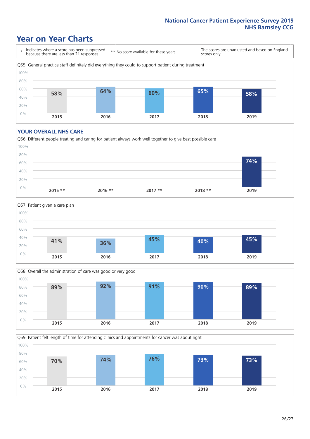### **Year on Year Charts**

\* Indicates where a score has been suppressed because there are less than 21 responses.

\*\* No score available for these years.

The scores are unadjusted and based on England scores only.



#### **YOUR OVERALL NHS CARE**







Q59. Patient felt length of time for attending clinics and appointments for cancer was about right